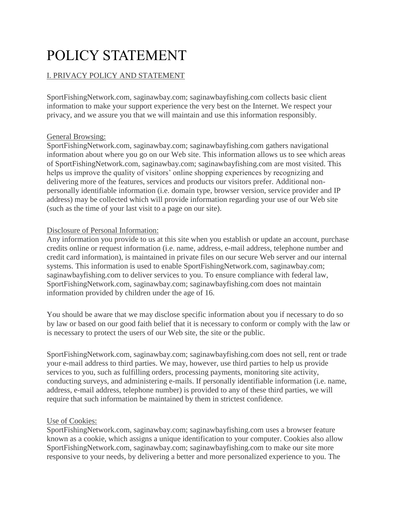# POLICY STATEMENT

# I. PRIVACY POLICY AND STATEMENT

SportFishingNetwork.com, saginawbay.com; saginawbayfishing.com collects basic client information to make your support experience the very best on the Internet. We respect your privacy, and we assure you that we will maintain and use this information responsibly.

## General Browsing:

SportFishingNetwork.com, saginawbay.com; saginawbayfishing.com gathers navigational information about where you go on our Web site. This information allows us to see which areas of SportFishingNetwork.com, saginawbay.com; saginawbayfishing.com are most visited. This helps us improve the quality of visitors' online shopping experiences by recognizing and delivering more of the features, services and products our visitors prefer. Additional nonpersonally identifiable information (i.e. domain type, browser version, service provider and IP address) may be collected which will provide information regarding your use of our Web site (such as the time of your last visit to a page on our site).

#### Disclosure of Personal Information:

Any information you provide to us at this site when you establish or update an account, purchase credits online or request information (i.e. name, address, e-mail address, telephone number and credit card information), is maintained in private files on our secure Web server and our internal systems. This information is used to enable SportFishingNetwork.com, saginawbay.com; saginawbayfishing.com to deliver services to you. To ensure compliance with federal law, SportFishingNetwork.com, saginawbay.com; saginawbayfishing.com does not maintain information provided by children under the age of 16.

You should be aware that we may disclose specific information about you if necessary to do so by law or based on our good faith belief that it is necessary to conform or comply with the law or is necessary to protect the users of our Web site, the site or the public.

SportFishingNetwork.com, saginawbay.com; saginawbayfishing.com does not sell, rent or trade your e-mail address to third parties. We may, however, use third parties to help us provide services to you, such as fulfilling orders, processing payments, monitoring site activity, conducting surveys, and administering e-mails. If personally identifiable information (i.e. name, address, e-mail address, telephone number) is provided to any of these third parties, we will require that such information be maintained by them in strictest confidence.

#### Use of Cookies:

SportFishingNetwork.com, saginawbay.com; saginawbayfishing.com uses a browser feature known as a cookie, which assigns a unique identification to your computer. Cookies also allow SportFishingNetwork.com, saginawbay.com; saginawbayfishing.com to make our site more responsive to your needs, by delivering a better and more personalized experience to you. The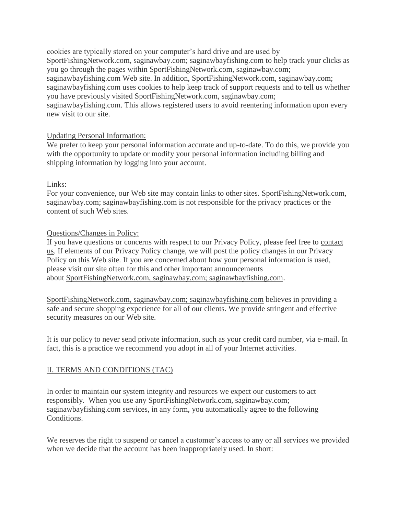cookies are typically stored on your computer's hard drive and are used by SportFishingNetwork.com, saginawbay.com; saginawbayfishing.com to help track your clicks as you go through the pages within SportFishingNetwork.com, saginawbay.com; saginawbayfishing.com Web site. In addition, SportFishingNetwork.com, saginawbay.com; saginawbayfishing.com uses cookies to help keep track of support requests and to tell us whether you have previously visited SportFishingNetwork.com, saginawbay.com; saginawbayfishing.com. This allows registered users to avoid reentering information upon every new visit to our site.

## Updating Personal Information:

We prefer to keep your personal information accurate and up-to-date. To do this, we provide you with the opportunity to update or modify your personal information including billing and shipping information by logging into your account.

#### Links:

For your convenience, our Web site may contain links to other sites. SportFishingNetwork.com, saginawbay.com; saginawbayfishing.com is not responsible for the privacy practices or the content of such Web sites.

#### Questions/Changes in Policy:

If you have questions or concerns with respect to our Privacy Policy, please feel free to [contact](https://sportfishingnetwork.com/contact-us)  [us.](https://sportfishingnetwork.com/contact-us) If elements of our Privacy Policy change, we will post the policy changes in our Privacy Policy on this Web site. If you are concerned about how your personal information is used, please visit our site often for this and other important announcements about [SportFishingNetwork.com, saginawbay.com; saginawbayfishing.com.](https://sportfishingnetwork.com/)

[SportFishingNetwork.com, saginawbay.com; saginawbayfishing.com](https://sportfishingnetwork.com/) believes in providing a safe and secure shopping experience for all of our clients. We provide stringent and effective security measures on our Web site.

It is our policy to never send private information, such as your credit card number, via e-mail. In fact, this is a practice we recommend you adopt in all of your Internet activities.

## II. TERMS AND CONDITIONS (TAC)

In order to maintain our system integrity and resources we expect our customers to act responsibly. When you use any SportFishingNetwork.com, saginawbay.com; saginawbayfishing.com services, in any form, you automatically agree to the following Conditions.

We reserves the right to suspend or cancel a customer's access to any or all services we provided when we decide that the account has been inappropriately used. In short: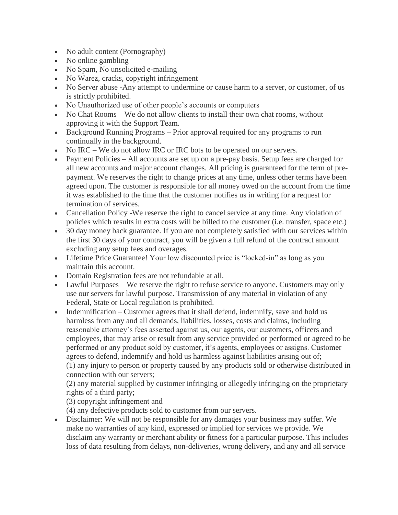- No adult content (Pornography)
- No online gambling
- No Spam, No unsolicited e-mailing
- No Warez, cracks, copyright infringement
- No Server abuse -Any attempt to undermine or cause harm to a server, or customer, of us is strictly prohibited.
- No Unauthorized use of other people's accounts or computers
- No Chat Rooms We do not allow clients to install their own chat rooms, without approving it with the Support Team.
- Background Running Programs Prior approval required for any programs to run continually in the background.
- No IRC We do not allow IRC or IRC bots to be operated on our servers.
- Payment Policies All accounts are set up on a pre-pay basis. Setup fees are charged for all new accounts and major account changes. All pricing is guaranteed for the term of prepayment. We reserves the right to change prices at any time, unless other terms have been agreed upon. The customer is responsible for all money owed on the account from the time it was established to the time that the customer notifies us in writing for a request for termination of services.
- Cancellation Policy -We reserve the right to cancel service at any time. Any violation of policies which results in extra costs will be billed to the customer (i.e. transfer, space etc.)
- 30 day money back guarantee. If you are not completely satisfied with our services within the first 30 days of your contract, you will be given a full refund of the contract amount excluding any setup fees and overages.
- Lifetime Price Guarantee! Your low discounted price is "locked-in" as long as you maintain this account.
- Domain Registration fees are not refundable at all.
- Lawful Purposes We reserve the right to refuse service to anyone. Customers may only use our servers for lawful purpose. Transmission of any material in violation of any Federal, State or Local regulation is prohibited.
- Indemnification Customer agrees that it shall defend, indemnify, save and hold us harmless from any and all demands, liabilities, losses, costs and claims, including reasonable attorney's fees asserted against us, our agents, our customers, officers and employees, that may arise or result from any service provided or performed or agreed to be performed or any product sold by customer, it's agents, employees or assigns. Customer agrees to defend, indemnify and hold us harmless against liabilities arising out of; (1) any injury to person or property caused by any products sold or otherwise distributed in connection with our servers;

(2) any material supplied by customer infringing or allegedly infringing on the proprietary rights of a third party;

(3) copyright infringement and

(4) any defective products sold to customer from our servers.

 Disclaimer: We will not be responsible for any damages your business may suffer. We make no warranties of any kind, expressed or implied for services we provide. We disclaim any warranty or merchant ability or fitness for a particular purpose. This includes loss of data resulting from delays, non-deliveries, wrong delivery, and any and all service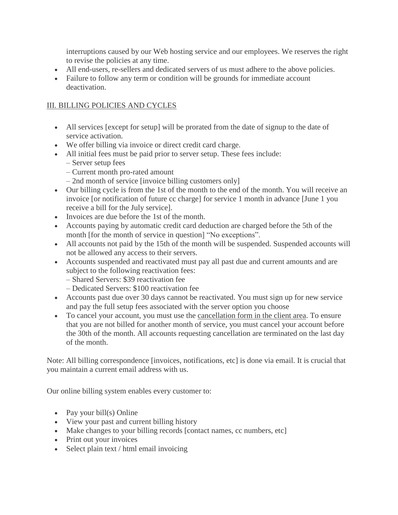interruptions caused by our Web hosting service and our employees. We reserves the right to revise the policies at any time.

- All end-users, re-sellers and dedicated servers of us must adhere to the above policies.
- Failure to follow any term or condition will be grounds for immediate account deactivation.

# III. BILLING POLICIES AND CYCLES

- All services [except for setup] will be prorated from the date of signup to the date of service activation.
- We offer billing via invoice or direct credit card charge.
- All initial fees must be paid prior to server setup. These fees include:
	- Server setup fees
	- Current month pro-rated amount
	- 2nd month of service [invoice billing customers only]
- Our billing cycle is from the 1st of the month to the end of the month. You will receive an invoice [or notification of future cc charge] for service 1 month in advance [June 1 you receive a bill for the July service].
- Invoices are due before the 1st of the month.
- Accounts paying by automatic credit card deduction are charged before the 5th of the month [for the month of service in question] "No exceptions".
- All accounts not paid by the 15th of the month will be suspended. Suspended accounts will not be allowed any access to their servers.
- Accounts suspended and reactivated must pay all past due and current amounts and are subject to the following reactivation fees:
	- Shared Servers: \$39 reactivation fee
	- Dedicated Servers: \$100 reactivation fee
- Accounts past due over 30 days cannot be reactivated. You must sign up for new service and pay the full setup fees associated with the server option you choose
- To cancel your account, you must use the [cancellation form in the client area.](https://glwh.net/) To ensure that you are not billed for another month of service, you must cancel your account before the 30th of the month. All accounts requesting cancellation are terminated on the last day of the month.

Note: All billing correspondence [invoices, notifications, etc] is done via email. It is crucial that you maintain a current email address with us.

Our online billing system enables every customer to:

- Pay your bill(s) Online
- View your past and current billing history
- Make changes to your billing records [contact names, cc numbers, etc]
- Print out your invoices
- Select plain text / html email invoicing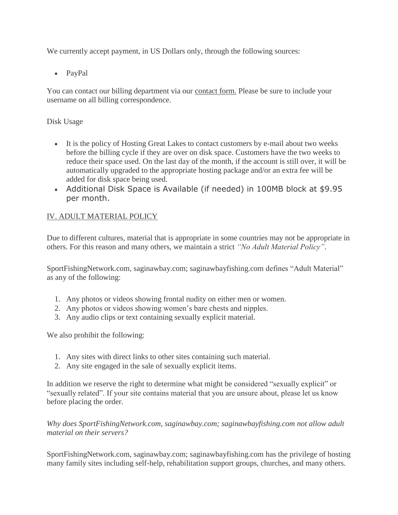We currently accept payment, in US Dollars only, through the following sources:

PayPal

You can contact our billing department via our [contact form.](https://sportfishingnetwork.com/contact-us) Please be sure to include your username on all billing correspondence.

## Disk Usage

- It is the policy of Hosting Great Lakes to contact customers by e-mail about two weeks before the billing cycle if they are over on disk space. Customers have the two weeks to reduce their space used. On the last day of the month, if the account is still over, it will be automatically upgraded to the appropriate hosting package and/or an extra fee will be added for disk space being used.
- Additional Disk Space is Available (if needed) in 100MB block at \$9.95 per month.

## IV. ADULT MATERIAL POLICY

Due to different cultures, material that is appropriate in some countries may not be appropriate in others. For this reason and many others, we maintain a strict *"No Adult Material Policy"*.

SportFishingNetwork.com, saginawbay.com; saginawbayfishing.com defines "Adult Material" as any of the following:

- 1. Any photos or videos showing frontal nudity on either men or women.
- 2. Any photos or videos showing women's bare chests and nipples.
- 3. Any audio clips or text containing sexually explicit material.

We also prohibit the following:

- 1. Any sites with direct links to other sites containing such material.
- 2. Any site engaged in the sale of sexually explicit items.

In addition we reserve the right to determine what might be considered "sexually explicit" or "sexually related". If your site contains material that you are unsure about, please let us know before placing the order.

*Why does SportFishingNetwork.com, saginawbay.com; saginawbayfishing.com not allow adult material on their servers?*

SportFishingNetwork.com, saginawbay.com; saginawbayfishing.com has the privilege of hosting many family sites including self-help, rehabilitation support groups, churches, and many others.